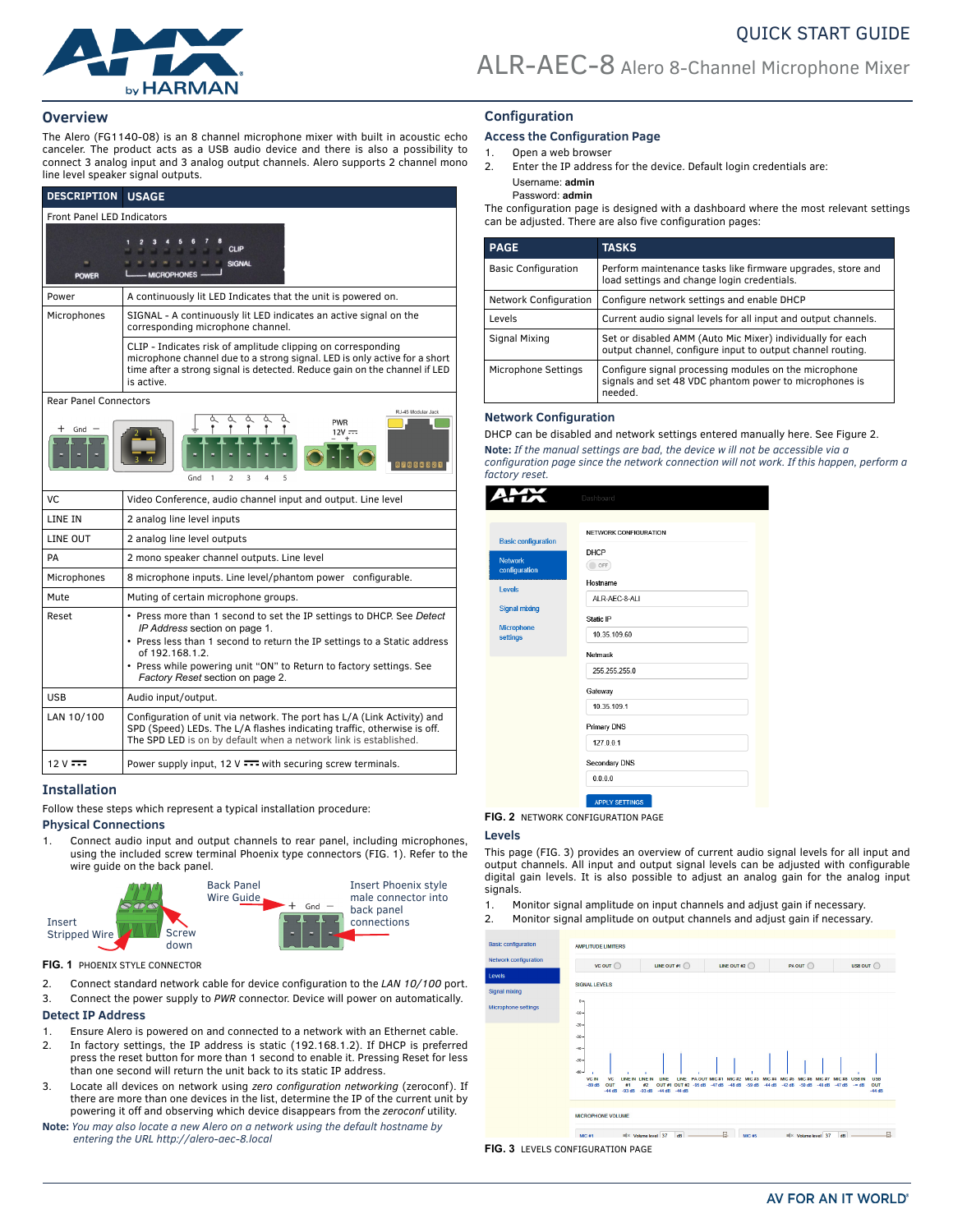

## **Overview**

The Alero (FG1140-08) is an 8 channel microphone mixer with built in acoustic echo canceler. The product acts as a USB audio device and there is also a possibility to connect 3 analog input and 3 analog output channels. Alero supports 2 channel mono line level speaker signal outputs.

| <b>DESCRIPTION</b>                                                                              | <b>USAGE</b>                                                                                                                                                                                                                         |  |  |
|-------------------------------------------------------------------------------------------------|--------------------------------------------------------------------------------------------------------------------------------------------------------------------------------------------------------------------------------------|--|--|
| <b>Front Panel LED Indicators</b>                                                               |                                                                                                                                                                                                                                      |  |  |
| <b>POWER</b>                                                                                    | <b>CLIP</b><br><b>SIGNAL</b><br><b>MICROPHONES</b>                                                                                                                                                                                   |  |  |
| Power                                                                                           | A continuously lit LED Indicates that the unit is powered on.                                                                                                                                                                        |  |  |
| Microphones                                                                                     | SIGNAL - A continuously lit LED indicates an active signal on the<br>corresponding microphone channel.                                                                                                                               |  |  |
|                                                                                                 | CLIP - Indicates risk of amplitude clipping on corresponding<br>microphone channel due to a strong signal. LED is only active for a short<br>time after a strong signal is detected. Reduce gain on the channel if LED<br>is active. |  |  |
| <b>Rear Panel Connectors</b>                                                                    |                                                                                                                                                                                                                                      |  |  |
| RJ-45 Modular Jack<br><b>PWR</b><br>Gnd<br>$12V =$<br>$\overline{2}$<br>3<br>Gnd<br>1<br>4<br>5 |                                                                                                                                                                                                                                      |  |  |
| VC.                                                                                             | Video Conference, audio channel input and output. Line level                                                                                                                                                                         |  |  |
| LINE IN                                                                                         | 2 analog line level inputs                                                                                                                                                                                                           |  |  |
| LINE OUT                                                                                        | 2 analog line level outputs                                                                                                                                                                                                          |  |  |
| PA                                                                                              | 2 mono speaker channel outputs. Line level                                                                                                                                                                                           |  |  |
| Microphones                                                                                     | 8 microphone inputs. Line level/phantom power configurable.                                                                                                                                                                          |  |  |
| Mute                                                                                            | Muting of certain microphone groups.                                                                                                                                                                                                 |  |  |
| Reset                                                                                           | • Press more than 1 second to set the IP settings to DHCP. See Detect<br>IP Address section on page 1.<br>• Press less than 1 second to return the IP settings to a Static address<br>of 192.168.1.2.                                |  |  |

## • Press while powering unit "ON" to Return to factory settings. See *Factory Reset* [section on page 2](#page-1-0). USB | Audio input/output. LAN 10/100 Configuration of unit via network. The port has L/A (Link Activity) and SPD (Speed) LEDs. The L/A flashes indicating traffic, otherwise is off. The SPD LED is on by default when a network link is established.

12 V  $\overline{\cdots}$  Power supply input, 12 V  $\overline{\cdots}$  with securing screw terminals.

# **Installation**

Follow these steps which represent a typical installation procedure:

## **Physical Connections**

1. Connect audio input and output channels to rear panel, including microphones, using the included screw terminal Phoenix type connectors [\(FIG. 1](#page-0-1)). Refer to the wire guide on the back panel.



<span id="page-0-1"></span>**FIG. 1** PHOENIX STYLE CONNECTOR

- 2. Connect standard network cable for device configuration to the *LAN 10/100* port.
- <span id="page-0-2"></span>3. Connect the power supply to *PWR* connector. Device will power on automatically. **Detect IP Address**

- 1. Ensure Alero is powered on and connected to a network with an Ethernet cable.
- 2. In factory settings, the IP address is static (192.168.1.2). If DHCP is preferred press the reset button for more than 1 second to enable it. Pressing Reset for less than one second will return the unit back to its static IP address.
- 3. Locate all devices on network using *zero configuration networking* (zeroconf). If there are more than one devices in the list, determine the IP of the current unit by powering it off and observing which device disappears from the *zeroconf* utility.
- **Note:** *You may also locate a new Alero on a network using the default hostname by entering the URL http://alero-aec-8.local*

# **Configuration**

# **Access the Configuration Page**

- 1. Open a web browser
- 2. Enter the IP address for the device. Default login credentials are: Username: **admin**  Password: **admin**

The configuration page is designed with a dashboard where the most relevant settings can be adjusted. There are also five configuration pages:

| <b>PAGE</b>                | <b>TASKS</b>                                                                                                               |  |  |
|----------------------------|----------------------------------------------------------------------------------------------------------------------------|--|--|
| <b>Basic Configuration</b> | Perform maintenance tasks like firmware upgrades, store and<br>load settings and change login credentials.                 |  |  |
| Network Configuration      | Configure network settings and enable DHCP                                                                                 |  |  |
| Levels                     | Current audio signal levels for all input and output channels.                                                             |  |  |
| Signal Mixing              | Set or disabled AMM (Auto Mic Mixer) individually for each<br>output channel, configure input to output channel routing.   |  |  |
| Microphone Settings        | Configure signal processing modules on the microphone<br>signals and set 48 VDC phantom power to microphones is<br>needed. |  |  |

## **Network Configuration**

DHCP can be disabled and network settings entered manually here. See Figure 2. **Note:** *If the manual settings are bad, the device w ill not be accessible via a configuration page since the network connection will not work. If this happen, perform a factory reset.*

|                                                                                                                                         | Dashboard                                                                                                                                                                  |  |
|-----------------------------------------------------------------------------------------------------------------------------------------|----------------------------------------------------------------------------------------------------------------------------------------------------------------------------|--|
| <b>Basic configuration</b><br><b>Network</b><br>configuration<br><b>Levels</b><br><b>Signal mixing</b><br><b>Microphone</b><br>settings | NETWORK CONFIGURATION<br><b>DHCP</b><br>OFF<br>Hostname<br>ALR-AEC-8-ALI<br>Static IP<br>10.35.109.60<br>Netmask<br>255.255.255.0<br>Gateway<br>10 35 109 1<br>Primary DNS |  |
|                                                                                                                                         | 127.0.0.1<br>Secondary DNS<br>0.0.0.0<br><b>APPLY SETTINGS</b>                                                                                                             |  |
|                                                                                                                                         |                                                                                                                                                                            |  |

### **FIG. 2** NETWORK CONFIGURATION PAGE

### **Levels**

This page [\(FIG. 3](#page-0-0)) provides an overview of current audio signal levels for all input and output channels. All input and output signal levels can be adjusted with configurable digital gain levels. It is also possible to adjust an analog gain for the analog input signals.

- 1. Monitor signal amplitude on input channels and adjust gain if necessary.
- 2. Monitor signal amplitude on output channels and adjust gain if necessary.

<span id="page-0-0"></span>